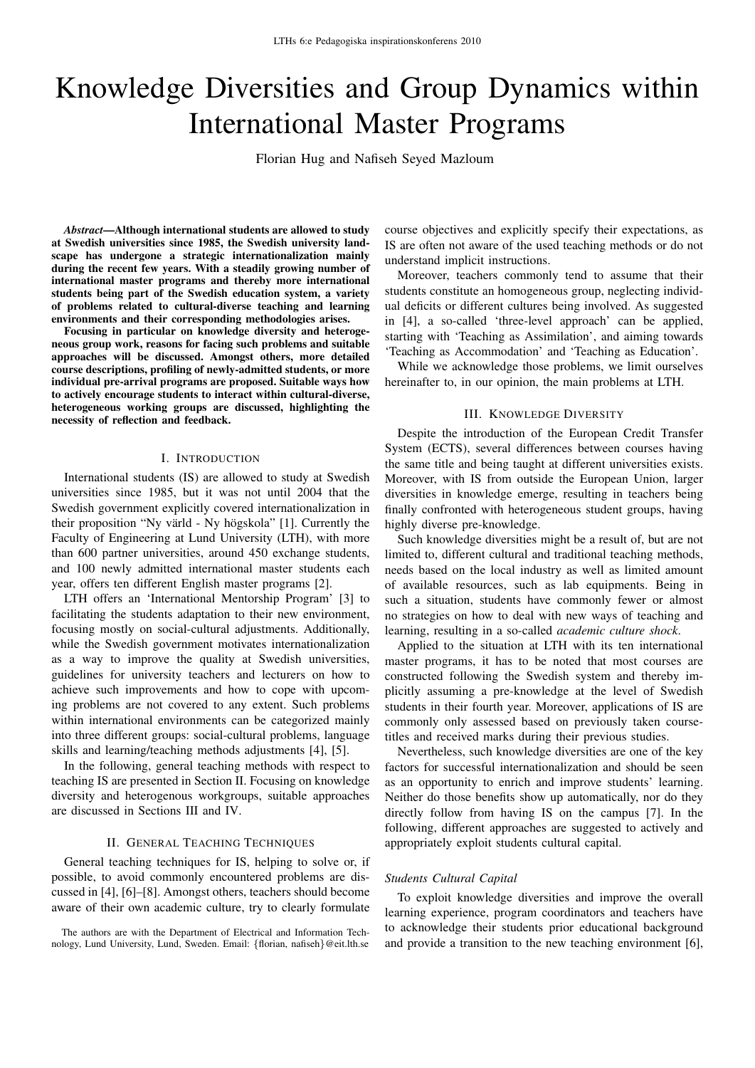# Knowledge Diversities and Group Dynamics within International Master Programs

Florian Hug and Nafiseh Seyed Mazloum

*Abstract*—Although international students are allowed to study at Swedish universities since 1985, the Swedish university landscape has undergone a strategic internationalization mainly during the recent few years. With a steadily growing number of international master programs and thereby more international students being part of the Swedish education system, a variety of problems related to cultural-diverse teaching and learning environments and their corresponding methodologies arises.

Focusing in particular on knowledge diversity and heterogeneous group work, reasons for facing such problems and suitable approaches will be discussed. Amongst others, more detailed course descriptions, profiling of newly-admitted students, or more individual pre-arrival programs are proposed. Suitable ways how to actively encourage students to interact within cultural-diverse, heterogeneous working groups are discussed, highlighting the necessity of reflection and feedback.

#### I. INTRODUCTION

International students (IS) are allowed to study at Swedish universities since 1985, but it was not until 2004 that the Swedish government explicitly covered internationalization in their proposition "Ny värld - Ny högskola" [1]. Currently the Faculty of Engineering at Lund University (LTH), with more than 600 partner universities, around 450 exchange students, and 100 newly admitted international master students each year, offers ten different English master programs [2].

LTH offers an 'International Mentorship Program' [3] to facilitating the students adaptation to their new environment, focusing mostly on social-cultural adjustments. Additionally, while the Swedish government motivates internationalization as a way to improve the quality at Swedish universities, guidelines for university teachers and lecturers on how to achieve such improvements and how to cope with upcoming problems are not covered to any extent. Such problems within international environments can be categorized mainly into three different groups: social-cultural problems, language skills and learning/teaching methods adjustments [4], [5].

In the following, general teaching methods with respect to teaching IS are presented in Section II. Focusing on knowledge diversity and heterogenous workgroups, suitable approaches are discussed in Sections III and IV.

## II. GENERAL TEACHING TECHNIQUES

General teaching techniques for IS, helping to solve or, if possible, to avoid commonly encountered problems are discussed in [4], [6]–[8]. Amongst others, teachers should become aware of their own academic culture, try to clearly formulate

The authors are with the Department of Electrical and Information Technology, Lund University, Lund, Sweden. Email: {florian, nafiseh}@eit.lth.se course objectives and explicitly specify their expectations, as IS are often not aware of the used teaching methods or do not understand implicit instructions.

Moreover, teachers commonly tend to assume that their students constitute an homogeneous group, neglecting individual deficits or different cultures being involved. As suggested in [4], a so-called 'three-level approach' can be applied, starting with 'Teaching as Assimilation', and aiming towards 'Teaching as Accommodation' and 'Teaching as Education'.

While we acknowledge those problems, we limit ourselves hereinafter to, in our opinion, the main problems at LTH.

#### III. KNOWLEDGE DIVERSITY

Despite the introduction of the European Credit Transfer System (ECTS), several differences between courses having the same title and being taught at different universities exists. Moreover, with IS from outside the European Union, larger diversities in knowledge emerge, resulting in teachers being finally confronted with heterogeneous student groups, having highly diverse pre-knowledge.

Such knowledge diversities might be a result of, but are not limited to, different cultural and traditional teaching methods, needs based on the local industry as well as limited amount of available resources, such as lab equipments. Being in such a situation, students have commonly fewer or almost no strategies on how to deal with new ways of teaching and learning, resulting in a so-called *academic culture shock*.

Applied to the situation at LTH with its ten international master programs, it has to be noted that most courses are constructed following the Swedish system and thereby implicitly assuming a pre-knowledge at the level of Swedish students in their fourth year. Moreover, applications of IS are commonly only assessed based on previously taken coursetitles and received marks during their previous studies.

Nevertheless, such knowledge diversities are one of the key factors for successful internationalization and should be seen as an opportunity to enrich and improve students' learning. Neither do those benefits show up automatically, nor do they directly follow from having IS on the campus [7]. In the following, different approaches are suggested to actively and appropriately exploit students cultural capital.

#### *Students Cultural Capital*

To exploit knowledge diversities and improve the overall learning experience, program coordinators and teachers have to acknowledge their students prior educational background and provide a transition to the new teaching environment [6],